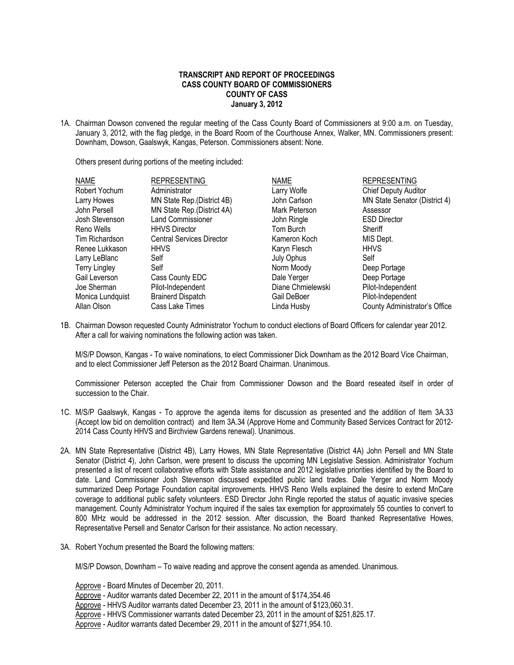## **TRANSCRIPT AND REPORT OF PROCEEDINGS CASS COUNTY BOARD OF COMMISSIONERS COUNTY OF CASS January 3, 2012**

1A. Chairman Dowson convened the regular meeting of the Cass County Board of Commissioners at 9:00 a.m. on Tuesday, January 3, 2012, with the flag pledge, in the Board Room of the Courthouse Annex, Walker, MN. Commissioners present: Downham, Dowson, Gaalswyk, Kangas, Peterson. Commissioners absent: None.

Others present during portions of the meeting included:

| <b>NAME</b>          | <b>REPRESENTING</b>              | <b>NAME</b>       | <b>REPRESENTING</b>           |
|----------------------|----------------------------------|-------------------|-------------------------------|
| Robert Yochum        | Administrator                    | Larry Wolfe       | <b>Chief Deputy Auditor</b>   |
| Larry Howes          | MN State Rep. (District 4B)      | John Carlson      | MN State Senator (District 4) |
| John Persell         | MN State Rep. (District 4A)      | Mark Peterson     | Assessor                      |
| Josh Stevenson       | <b>Land Commissioner</b>         | John Ringle       | <b>ESD Director</b>           |
| Reno Wells           | <b>HHVS Director</b>             | Tom Burch         | Sheriff                       |
| Tim Richardson       | <b>Central Services Director</b> | Kameron Koch      | MIS Dept.                     |
| Renee Lukkason       | <b>HHVS</b>                      | Karyn Flesch      | <b>HHVS</b>                   |
| Larry LeBlanc        | Self                             | July Ophus        | Self                          |
| <b>Terry Lingley</b> | Self                             | Norm Moody        | Deep Portage                  |
| Gail Leverson        | Cass County EDC                  | Dale Yerger       | Deep Portage                  |
| Joe Sherman          | Pilot-Independent                | Diane Chmielewski | Pilot-Independent             |
| Monica Lundquist     | <b>Brainerd Dispatch</b>         | Gail DeBoer       | Pilot-Independent             |
| Allan Olson          | Cass Lake Times                  | Linda Husby       | County Administrator's Office |

1B. Chairman Dowson requested County Administrator Yochum to conduct elections of Board Officers for calendar year 2012. After a call for waiving nominations the following action was taken.

M/S/P Dowson, Kangas - To waive nominations, to elect Commissioner Dick Downham as the 2012 Board Vice Chairman, and to elect Commissioner Jeff Peterson as the 2012 Board Chairman. Unanimous.

Commissioner Peterson accepted the Chair from Commissioner Dowson and the Board reseated itself in order of succession to the Chair.

- 1C. M/S/P Gaalswyk, Kangas To approve the agenda items for discussion as presented and the addition of Item 3A.33 (Accept low bid on demolition contract) and Item 3A.34 (Approve Home and Community Based Services Contract for 2012- 2014 Cass County HHVS and Birchview Gardens renewal). Unanimous.
- 2A. MN State Representative (District 4B), Larry Howes, MN State Representative (District 4A) John Persell and MN State Senator (District 4), John Carlson, were present to discuss the upcoming MN Legislative Session. Administrator Yochum presented a list of recent collaborative efforts with State assistance and 2012 legislative priorities identified by the Board to date. Land Commissioner Josh Stevenson discussed expedited public land trades. Dale Yerger and Norm Moody summarized Deep Portage Foundation capital improvements. HHVS Reno Wells explained the desire to extend MnCare coverage to additional public safety volunteers. ESD Director John Ringle reported the status of aquatic invasive species management. County Administrator Yochum inquired if the sales tax exemption for approximately 55 counties to convert to 800 MHz would be addressed in the 2012 session. After discussion, the Board thanked Representative Howes, Representative Persell and Senator Carlson for their assistance. No action necessary.
- 3A. Robert Yochum presented the Board the following matters:

M/S/P Dowson, Downham – To waive reading and approve the consent agenda as amended. Unanimous.

Approve - Board Minutes of December 20, 2011.

Approve - Auditor warrants dated December 22, 2011 in the amount of \$174,354.46

Approve - HHVS Auditor warrants dated December 23, 2011 in the amount of \$123,060.31.

Approve - HHVS Commissioner warrants dated December 23, 2011 in the amount of \$251,825.17.

Approve - Auditor warrants dated December 29, 2011 in the amount of \$271,954.10.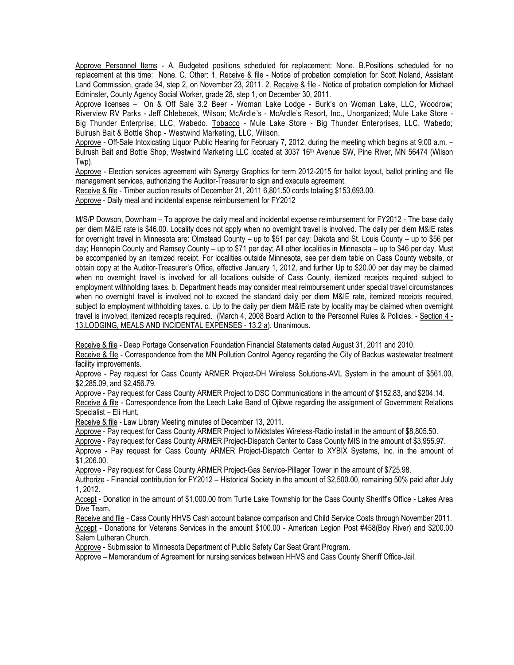Approve Personnel Items - A. Budgeted positions scheduled for replacement: None. B.Positions scheduled for no replacement at this time: None. C. Other: 1. Receive & file - Notice of probation completion for Scott Noland, Assistant Land Commission, grade 34, step 2, on November 23, 2011. 2. Receive & file - Notice of probation completion for Michael Edminster, County Agency Social Worker, grade 28, step 1, on December 30, 2011.

Approve licenses – On & Off Sale 3.2 Beer - Woman Lake Lodge - Burk's on Woman Lake, LLC, Woodrow; Riverview RV Parks - Jeff Chlebecek, Wilson; McArdle's - McArdle's Resort, Inc., Unorganized; Mule Lake Store - Big Thunder Enterprise, LLC, Wabedo. Tobacco - Mule Lake Store - Big Thunder Enterprises, LLC, Wabedo; Bulrush Bait & Bottle Shop - Westwind Marketing, LLC, Wilson.

Approve - Off-Sale Intoxicating Liquor Public Hearing for February 7, 2012, during the meeting which begins at 9:00 a.m. – Bulrush Bait and Bottle Shop, Westwind Marketing LLC located at 3037 16<sup>th</sup> Avenue SW, Pine River, MN 56474 (Wilson Twp).

Approve - Election services agreement with Synergy Graphics for term 2012-2015 for ballot layout, ballot printing and file management services, authorizing the Auditor-Treasurer to sign and execute agreement.

Receive & file - Timber auction results of December 21, 2011 6,801.50 cords totaling \$153,693.00.

Approve - Daily meal and incidental expense reimbursement for FY2012

M/S/P Dowson, Downham – To approve the daily meal and incidental expense reimbursement for FY2012 - The base daily per diem M&IE rate is \$46.00. Locality does not apply when no overnight travel is involved. The daily per diem M&IE rates for overnight travel in Minnesota are: Olmstead County – up to \$51 per day; Dakota and St. Louis County – up to \$56 per day; Hennepin County and Ramsey County – up to \$71 per day; All other localities in Minnesota – up to \$46 per day. Must be accompanied by an itemized receipt. For localities outside Minnesota, see per diem table on Cass County website, or obtain copy at the Auditor-Treasurer's Office, effective January 1, 2012, and further Up to \$20.00 per day may be claimed when no overnight travel is involved for all locations outside of Cass County, itemized receipts required subject to employment withholding taxes. b. Department heads may consider meal reimbursement under special travel circumstances when no overnight travel is involved not to exceed the standard daily per diem M&IE rate, itemized receipts required, subject to employment withholding taxes. c. Up to the daily per diem M&IE rate by locality may be claimed when overnight travel is involved, itemized receipts required. (March 4, 2008 Board Action to the Personnel Rules & Policies. - Section 4 - 13.LODGING, MEALS AND INCIDENTAL EXPENSES - 13.2 a). Unanimous.

Receive & file - Deep Portage Conservation Foundation Financial Statements dated August 31, 2011 and 2010.

Receive & file - Correspondence from the MN Pollution Control Agency regarding the City of Backus wastewater treatment facility improvements.

Approve - Pay request for Cass County ARMER Project-DH Wireless Solutions-AVL System in the amount of \$561.00, \$2.285.09, and \$2,456.79.

Approve - Pay request for Cass County ARMER Project to DSC Communications in the amount of \$152.83, and \$204.14. Receive & file - Correspondence from the Leech Lake Band of Ojibwe regarding the assignment of Government Relations Specialist – Eli Hunt.

Receive & file - Law Library Meeting minutes of December 13, 2011.

Approve - Pay request for Cass County ARMER Project to Midstates Wireless-Radio install in the amount of \$8,805.50.

Approve - Pay request for Cass County ARMER Project-Dispatch Center to Cass County MIS in the amount of \$3,955.97.

Approve - Pay request for Cass County ARMER Project-Dispatch Center to XYBIX Systems, Inc. in the amount of \$1,206.00.

Approve - Pay request for Cass County ARMER Project-Gas Service-Pillager Tower in the amount of \$725.98.

Authorize - Financial contribution for FY2012 – Historical Society in the amount of \$2,500.00, remaining 50% paid after July 1, 2012.

Accept - Donation in the amount of \$1,000.00 from Turtle Lake Township for the Cass County Sheriff's Office - Lakes Area Dive Team.

Receive and file - Cass County HHVS Cash account balance comparison and Child Service Costs through November 2011. Accept - Donations for Veterans Services in the amount \$100.00 - American Legion Post #458(Boy River) and \$200.00 Salem Lutheran Church.

Approve - Submission to Minnesota Department of Public Safety Car Seat Grant Program.

Approve – Memorandum of Agreement for nursing services between HHVS and Cass County Sheriff Office-Jail.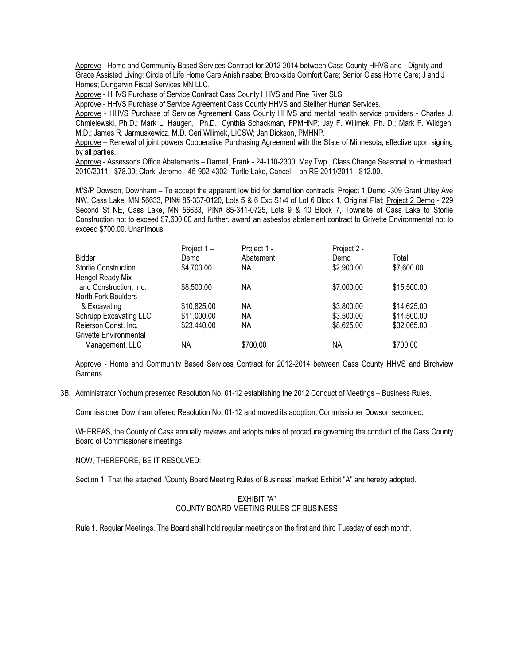Approve - Home and Community Based Services Contract for 2012-2014 between Cass County HHVS and - Dignity and Grace Assisted Living; Circle of Life Home Care Anishinaabe; Brookside Comfort Care; Senior Class Home Care; J and J Homes; Dungarvin Fiscal Services MN LLC.

Approve - HHVS Purchase of Service Contract Cass County HHVS and Pine River SLS.

Approve - HHVS Purchase of Service Agreement Cass County HHVS and Stellher Human Services.

Approve - HHVS Purchase of Service Agreement Cass County HHVS and mental health service providers - Charles J. Chmielewski, Ph.D.; Mark L. Haugen, Ph.D.; Cynthia Schackman, FPMHNP; Jay F. Wilimek, Ph. D.; Mark F. Wildgen, M.D.; James R. Jarmuskewicz, M.D. Geri Wilimek, LICSW; Jan Dickson, PMHNP.

Approve – Renewal of joint powers Cooperative Purchasing Agreement with the State of Minnesota, effective upon signing by all parties.

Approve - Assessor's Office Abatements – Darnell, Frank - 24-110-2300, May Twp., Class Change Seasonal to Homestead, 2010/2011 - \$78.00; Clark, Jerome - 45-902-4302- Turtle Lake, Cancel -- on RE 2011/2011 - \$12.00.

M/S/P Dowson, Downham – To accept the apparent low bid for demolition contracts: Project 1 Demo -309 Grant Utley Ave NW, Cass Lake, MN 56633, PIN# 85-337-0120, Lots 5 & 6 Exc S1/4 of Lot 6 Block 1, Original Plat; Project 2 Demo - 229 Second St NE, Cass Lake, MN 56633, PIN# 85-341-0725, Lots 9 & 10 Block 7, Townsite of Cass Lake to Storlie Construction not to exceed \$7,600.00 and further, award an asbestos abatement contract to Grivette Environmental not to exceed \$700.00. Unanimous.

|                        | Project 1-  | Project 1 - | Project 2 - |             |
|------------------------|-------------|-------------|-------------|-------------|
| <b>Bidder</b>          | Demo        | Abatement   | Demo        | Total       |
| Storlie Construction   | \$4,700.00  | NА          | \$2,900.00  | \$7,600.00  |
| Hengel Ready Mix       |             |             |             |             |
| and Construction, Inc. | \$8,500.00  | ΝA          | \$7,000.00  | \$15,500.00 |
| North Fork Boulders    |             |             |             |             |
| & Excavating           | \$10,825.00 | ΝA          | \$3,800.00  | \$14,625.00 |
| Schrupp Excavating LLC | \$11,000.00 | NА          | \$3,500.00  | \$14,500.00 |
| Reierson Const. Inc.   | \$23,440.00 | NА          | \$8,625.00  | \$32,065.00 |
| Grivette Environmental |             |             |             |             |
| Management, LLC        | ΝA          | \$700.00    | ΝA          | \$700.00    |

Approve - Home and Community Based Services Contract for 2012-2014 between Cass County HHVS and Birchview Gardens.

3B. Administrator Yochum presented Resolution No. 01-12 establishing the 2012 Conduct of Meetings – Business Rules.

Commissioner Downham offered Resolution No. 01-12 and moved its adoption, Commissioner Dowson seconded:

WHEREAS, the County of Cass annually reviews and adopts rules of procedure governing the conduct of the Cass County Board of Commissioner's meetings.

NOW, THEREFORE, BE IT RESOLVED:

Section 1. That the attached "County Board Meeting Rules of Business" marked Exhibit "A" are hereby adopted.

## EXHIBIT "A" COUNTY BOARD MEETING RULES OF BUSINESS

Rule 1. Regular Meetings. The Board shall hold regular meetings on the first and third Tuesday of each month.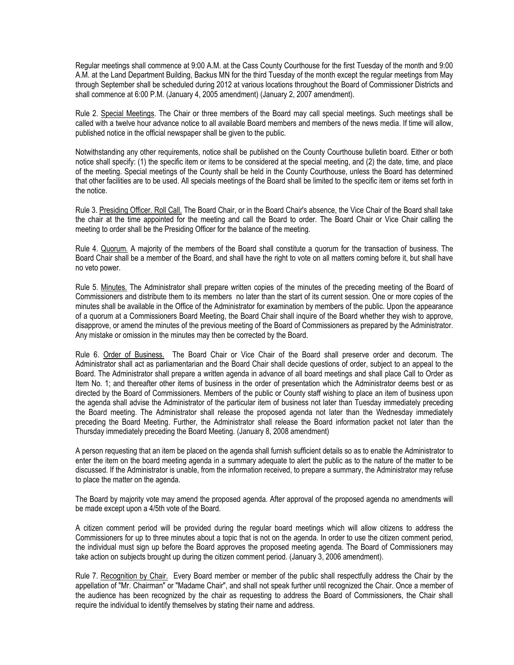Regular meetings shall commence at 9:00 A.M. at the Cass County Courthouse for the first Tuesday of the month and 9:00 A.M. at the Land Department Building, Backus MN for the third Tuesday of the month except the regular meetings from May through September shall be scheduled during 2012 at various locations throughout the Board of Commissioner Districts and shall commence at 6:00 P.M. (January 4, 2005 amendment) (January 2, 2007 amendment).

Rule 2. Special Meetings. The Chair or three members of the Board may call special meetings. Such meetings shall be called with a twelve hour advance notice to all available Board members and members of the news media. If time will allow, published notice in the official newspaper shall be given to the public.

Notwithstanding any other requirements, notice shall be published on the County Courthouse bulletin board. Either or both notice shall specify: (1) the specific item or items to be considered at the special meeting, and (2) the date, time, and place of the meeting. Special meetings of the County shall be held in the County Courthouse, unless the Board has determined that other facilities are to be used. All specials meetings of the Board shall be limited to the specific item or items set forth in the notice.

Rule 3. Presiding Officer. Roll Call. The Board Chair, or in the Board Chair's absence, the Vice Chair of the Board shall take the chair at the time appointed for the meeting and call the Board to order. The Board Chair or Vice Chair calling the meeting to order shall be the Presiding Officer for the balance of the meeting.

Rule 4. Quorum. A majority of the members of the Board shall constitute a quorum for the transaction of business. The Board Chair shall be a member of the Board, and shall have the right to vote on all matters coming before it, but shall have no veto power.

Rule 5. Minutes. The Administrator shall prepare written copies of the minutes of the preceding meeting of the Board of Commissioners and distribute them to its members no later than the start of its current session. One or more copies of the minutes shall be available in the Office of the Administrator for examination by members of the public. Upon the appearance of a quorum at a Commissioners Board Meeting, the Board Chair shall inquire of the Board whether they wish to approve, disapprove, or amend the minutes of the previous meeting of the Board of Commissioners as prepared by the Administrator. Any mistake or omission in the minutes may then be corrected by the Board.

Rule 6. Order of Business. The Board Chair or Vice Chair of the Board shall preserve order and decorum. The Administrator shall act as parliamentarian and the Board Chair shall decide questions of order, subject to an appeal to the Board. The Administrator shall prepare a written agenda in advance of all board meetings and shall place Call to Order as Item No. 1; and thereafter other items of business in the order of presentation which the Administrator deems best or as directed by the Board of Commissioners. Members of the public or County staff wishing to place an item of business upon the agenda shall advise the Administrator of the particular item of business not later than Tuesday immediately preceding the Board meeting. The Administrator shall release the proposed agenda not later than the Wednesday immediately preceding the Board Meeting. Further, the Administrator shall release the Board information packet not later than the Thursday immediately preceding the Board Meeting. (January 8, 2008 amendment)

A person requesting that an item be placed on the agenda shall furnish sufficient details so as to enable the Administrator to enter the item on the board meeting agenda in a summary adequate to alert the public as to the nature of the matter to be discussed. If the Administrator is unable, from the information received, to prepare a summary, the Administrator may refuse to place the matter on the agenda.

The Board by majority vote may amend the proposed agenda. After approval of the proposed agenda no amendments will be made except upon a 4/5th vote of the Board.

A citizen comment period will be provided during the regular board meetings which will allow citizens to address the Commissioners for up to three minutes about a topic that is not on the agenda. In order to use the citizen comment period, the individual must sign up before the Board approves the proposed meeting agenda. The Board of Commissioners may take action on subjects brought up during the citizen comment period. (January 3, 2006 amendment).

Rule 7. Recognition by Chair. Every Board member or member of the public shall respectfully address the Chair by the appellation of "Mr. Chairman" or "Madame Chair", and shall not speak further until recognized the Chair. Once a member of the audience has been recognized by the chair as requesting to address the Board of Commissioners, the Chair shall require the individual to identify themselves by stating their name and address.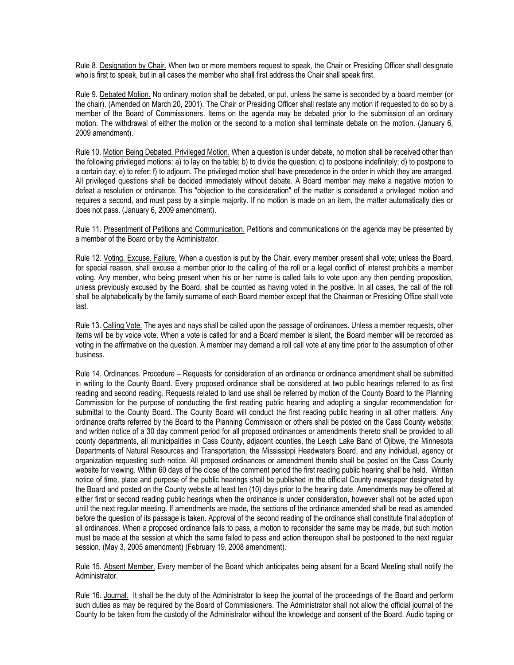Rule 8. Designation by Chair. When two or more members request to speak, the Chair or Presiding Officer shall designate who is first to speak, but in all cases the member who shall first address the Chair shall speak first.

Rule 9. Debated Motion. No ordinary motion shall be debated, or put, unless the same is seconded by a board member (or the chair). (Amended on March 20, 2001). The Chair or Presiding Officer shall restate any motion if requested to do so by a member of the Board of Commissioners. Items on the agenda may be debated prior to the submission of an ordinary motion. The withdrawal of either the motion or the second to a motion shall terminate debate on the motion. (January 6, 2009 amendment).

Rule 10. Motion Being Debated. Privileged Motion. When a question is under debate, no motion shall be received other than the following privileged motions: a) to lay on the table; b) to divide the question; c) to postpone indefinitely; d) to postpone to a certain day; e) to refer; f) to adjourn. The privileged motion shall have precedence in the order in which they are arranged. All privileged questions shall be decided immediately without debate. A Board member may make a negative motion to defeat a resolution or ordinance. This "objection to the consideration" of the matter is considered a privileged motion and requires a second, and must pass by a simple majority. If no motion is made on an item, the matter automatically dies or does not pass. (January 6, 2009 amendment).

Rule 11. Presentment of Petitions and Communication. Petitions and communications on the agenda may be presented by a member of the Board or by the Administrator.

Rule 12. Voting. Excuse. Failure. When a question is put by the Chair, every member present shall vote; unless the Board, for special reason, shall excuse a member prior to the calling of the roll or a legal conflict of interest prohibits a member voting. Any member, who being present when his or her name is called fails to vote upon any then pending proposition, unless previously excused by the Board, shall be counted as having voted in the positive. In all cases, the call of the roll shall be alphabetically by the family surname of each Board member except that the Chairman or Presiding Office shall vote last.

Rule 13. Calling Vote. The ayes and nays shall be called upon the passage of ordinances. Unless a member requests, other items will be by voice vote. When a vote is called for and a Board member is silent, the Board member will be recorded as voting in the affirmative on the question. A member may demand a roll call vote at any time prior to the assumption of other business.

Rule 14. Ordinances. Procedure – Requests for consideration of an ordinance or ordinance amendment shall be submitted in writing to the County Board. Every proposed ordinance shall be considered at two public hearings referred to as first reading and second reading. Requests related to land use shall be referred by motion of the County Board to the Planning Commission for the purpose of conducting the first reading public hearing and adopting a singular recommendation for submittal to the County Board. The County Board will conduct the first reading public hearing in all other matters. Any ordinance drafts referred by the Board to the Planning Commission or others shall be posted on the Cass County website; and written notice of a 30 day comment period for all proposed ordinances or amendments thereto shall be provided to all county departments, all municipalities in Cass County, adjacent counties, the Leech Lake Band of Ojibwe, the Minnesota Departments of Natural Resources and Transportation, the Mississippi Headwaters Board, and any individual, agency or organization requesting such notice. All proposed ordinances or amendment thereto shall be posted on the Cass County website for viewing. Within 60 days of the close of the comment period the first reading public hearing shall be held. Written notice of time, place and purpose of the public hearings shall be published in the official County newspaper designated by the Board and posted on the County website at least ten (10) days prior to the hearing date. Amendments may be offered at either first or second reading public hearings when the ordinance is under consideration, however shall not be acted upon until the next regular meeting. If amendments are made, the sections of the ordinance amended shall be read as amended before the question of its passage is taken. Approval of the second reading of the ordinance shall constitute final adoption of all ordinances. When a proposed ordinance fails to pass, a motion to reconsider the same may be made, but such motion must be made at the session at which the same failed to pass and action thereupon shall be postponed to the next regular session. (May 3, 2005 amendment) (February 19, 2008 amendment).

Rule 15. Absent Member. Every member of the Board which anticipates being absent for a Board Meeting shall notify the Administrator.

Rule 16. Journal. It shall be the duty of the Administrator to keep the journal of the proceedings of the Board and perform such duties as may be required by the Board of Commissioners. The Administrator shall not allow the official journal of the County to be taken from the custody of the Administrator without the knowledge and consent of the Board. Audio taping or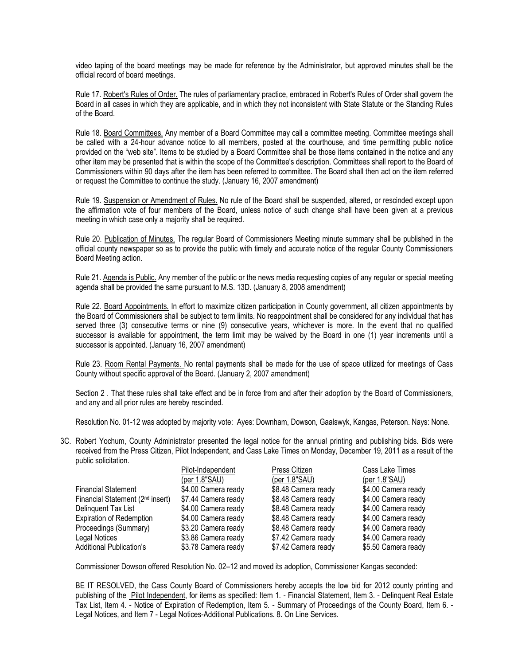video taping of the board meetings may be made for reference by the Administrator, but approved minutes shall be the official record of board meetings.

Rule 17. Robert's Rules of Order. The rules of parliamentary practice, embraced in Robert's Rules of Order shall govern the Board in all cases in which they are applicable, and in which they not inconsistent with State Statute or the Standing Rules of the Board.

Rule 18. Board Committees. Any member of a Board Committee may call a committee meeting. Committee meetings shall be called with a 24-hour advance notice to all members, posted at the courthouse, and time permitting public notice provided on the "web site". Items to be studied by a Board Committee shall be those items contained in the notice and any other item may be presented that is within the scope of the Committee's description. Committees shall report to the Board of Commissioners within 90 days after the item has been referred to committee. The Board shall then act on the item referred or request the Committee to continue the study. (January 16, 2007 amendment)

Rule 19. Suspension or Amendment of Rules. No rule of the Board shall be suspended, altered, or rescinded except upon the affirmation vote of four members of the Board, unless notice of such change shall have been given at a previous meeting in which case only a majority shall be required.

Rule 20. Publication of Minutes. The regular Board of Commissioners Meeting minute summary shall be published in the official county newspaper so as to provide the public with timely and accurate notice of the regular County Commissioners Board Meeting action.

Rule 21. Agenda is Public. Any member of the public or the news media requesting copies of any regular or special meeting agenda shall be provided the same pursuant to M.S. 13D. (January 8, 2008 amendment)

Rule 22. Board Appointments. In effort to maximize citizen participation in County government, all citizen appointments by the Board of Commissioners shall be subject to term limits. No reappointment shall be considered for any individual that has served three (3) consecutive terms or nine (9) consecutive years, whichever is more. In the event that no qualified successor is available for appointment, the term limit may be waived by the Board in one (1) year increments until a successor is appointed. (January 16, 2007 amendment)

Rule 23. Room Rental Payments. No rental payments shall be made for the use of space utilized for meetings of Cass County without specific approval of the Board. (January 2, 2007 amendment)

Section 2 . That these rules shall take effect and be in force from and after their adoption by the Board of Commissioners, and any and all prior rules are hereby rescinded.

Resolution No. 01-12 was adopted by majority vote: Ayes: Downham, Dowson, Gaalswyk, Kangas, Peterson. Nays: None.

3C. Robert Yochum, County Administrator presented the legal notice for the annual printing and publishing bids. Bids were received from the Press Citizen, Pilot Independent, and Cass Lake Times on Monday, December 19, 2011 as a result of the public solicitation.

|                                              | Pilot-Independent   | Press Citizen       | Cass Lake Times     |
|----------------------------------------------|---------------------|---------------------|---------------------|
|                                              | (per $1.8$ "SAU)    | (per $1.8$ "SAU)    | (per $1.8$ "SAU)    |
| <b>Financial Statement</b>                   | \$4.00 Camera ready | \$8.48 Camera ready | \$4.00 Camera ready |
| Financial Statement (2 <sup>nd</sup> insert) | \$7.44 Camera ready | \$8.48 Camera ready | \$4.00 Camera ready |
| Delinguent Tax List                          | \$4.00 Camera ready | \$8.48 Camera ready | \$4.00 Camera ready |
| <b>Expiration of Redemption</b>              | \$4.00 Camera ready | \$8.48 Camera ready | \$4.00 Camera ready |
| Proceedings (Summary)                        | \$3.20 Camera ready | \$8.48 Camera ready | \$4.00 Camera ready |
| Legal Notices                                | \$3.86 Camera ready | \$7.42 Camera ready | \$4.00 Camera ready |
| <b>Additional Publication's</b>              | \$3.78 Camera ready | \$7.42 Camera ready | \$5.50 Camera ready |

Commissioner Dowson offered Resolution No. 02–12 and moved its adoption, Commissioner Kangas seconded:

BE IT RESOLVED, the Cass County Board of Commissioners hereby accepts the low bid for 2012 county printing and publishing of the Pilot Independent, for items as specified: Item 1. - Financial Statement, Item 3. - Delinquent Real Estate Tax List, Item 4. - Notice of Expiration of Redemption, Item 5. - Summary of Proceedings of the County Board, Item 6. - Legal Notices, and Item 7 - Legal Notices-Additional Publications. 8. On Line Services.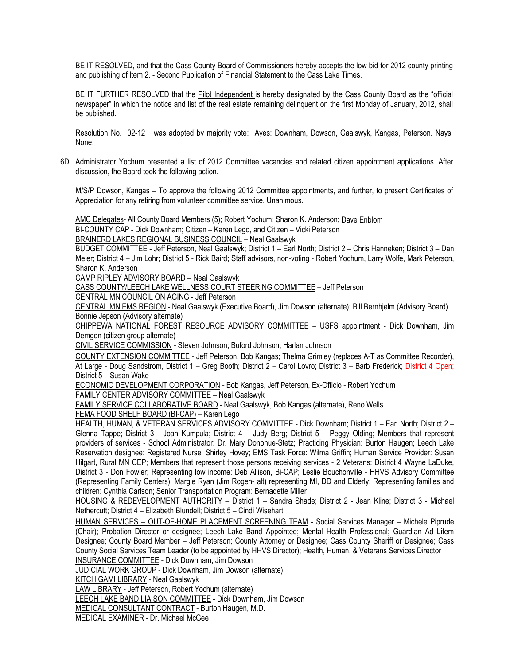BE IT RESOLVED, and that the Cass County Board of Commissioners hereby accepts the low bid for 2012 county printing and publishing of Item 2. - Second Publication of Financial Statement to the Cass Lake Times.

BE IT FURTHER RESOLVED that the Pilot Independent is hereby designated by the Cass County Board as the "official newspaper" in which the notice and list of the real estate remaining delinquent on the first Monday of January, 2012, shall be published.

Resolution No. 02-12 was adopted by majority vote: Ayes: Downham, Dowson, Gaalswyk, Kangas, Peterson. Nays: None.

6D. Administrator Yochum presented a list of 2012 Committee vacancies and related citizen appointment applications. After discussion, the Board took the following action.

M/S/P Dowson, Kangas – To approve the following 2012 Committee appointments, and further, to present Certificates of Appreciation for any retiring from volunteer committee service. Unanimous.

AMC Delegates- All County Board Members (5); Robert Yochum; Sharon K. Anderson; Dave Enblom

BI-COUNTY CAP - Dick Downham; Citizen – Karen Lego, and Citizen – Vicki Peterson

BRAINERD LAKES REGIONAL BUSINESS COUNCIL – Neal Gaalswyk

BUDGET COMMITTEE - Jeff Peterson, Neal Gaalswyk; District 1 – Earl North; District 2 – Chris Hanneken; District 3 – Dan Meier; District 4 – Jim Lohr; District 5 - Rick Baird; Staff advisors, non-voting - Robert Yochum, Larry Wolfe, Mark Peterson, Sharon K. Anderson

CAMP RIPLEY ADVISORY BOARD – Neal Gaalswyk

CASS COUNTY/LEECH LAKE WELLNESS COURT STEERING COMMITTEE – Jeff Peterson

CENTRAL MN COUNCIL ON AGING - Jeff Peterson

CENTRAL MN EMS REGION - Neal Gaalswyk (Executive Board), Jim Dowson (alternate); Bill Bernhjelm (Advisory Board) Bonnie Jepson (Advisory alternate)

CHIPPEWA NATIONAL FOREST RESOURCE ADVISORY COMMITTEE – USFS appointment - Dick Downham, Jim Demgen (citizen group alternate)

CIVIL SERVICE COMMISSION - Steven Johnson; Buford Johnson; Harlan Johnson

COUNTY EXTENSION COMMITTEE - Jeff Peterson, Bob Kangas; Thelma Grimley (replaces A-T as Committee Recorder), At Large - Doug Sandstrom, District 1 – Greg Booth; District 2 – Carol Lovro; District 3 – Barb Frederick; District 4 Open; District 5 – Susan Wake

ECONOMIC DEVELOPMENT CORPORATION - Bob Kangas, Jeff Peterson, Ex-Officio - Robert Yochum

FAMILY CENTER ADVISORY COMMITTEE – Neal Gaalswyk

FAMILY SERVICE COLLABORATIVE BOARD - Neal Gaalswyk, Bob Kangas (alternate), Reno Wells

FEMA FOOD SHELF BOARD (BI-CAP) – Karen Lego

HEALTH, HUMAN, & VETERAN SERVICES ADVISORY COMMITTEE - Dick Downham; District 1 – Earl North; District 2 – Glenna Tappe; District 3 - Joan Kumpula; District 4 – Judy Berg; District 5 – Peggy Olding; Members that represent providers of services - School Administrator: Dr. Mary Donohue-Stetz; Practicing Physician: Burton Haugen; Leech Lake Reservation designee: Registered Nurse: Shirley Hovey; EMS Task Force: Wilma Griffin; Human Service Provider: Susan Hilgart, Rural MN CEP; Members that represent those persons receiving services - 2 Veterans: District 4 Wayne LaDuke, District 3 - Don Fowler; Representing low income: Deb Allison, Bi-CAP; Leslie Bouchonville - HHVS Advisory Committee (Representing Family Centers); Margie Ryan (Jim Rogen- alt) representing MI, DD and Elderly; Representing families and children: Cynthia Carlson; Senior Transportation Program: Bernadette Miller

HOUSING & REDEVELOPMENT AUTHORITY – District 1 – Sandra Shade; District 2 - Jean Kline; District 3 - Michael Nethercutt; District 4 – Elizabeth Blundell; District 5 – Cindi Wisehart

HUMAN SERVICES – OUT-OF-HOME PLACEMENT SCREENING TEAM - Social Services Manager – Michele Piprude (Chair); Probation Director or designee; Leech Lake Band Appointee; Mental Health Professional; Guardian Ad Litem Designee; County Board Member – Jeff Peterson; County Attorney or Designee; Cass County Sheriff or Designee; Cass County Social Services Team Leader (to be appointed by HHVS Director); Health, Human, & Veterans Services Director INSURANCE COMMITTEE - Dick Downham, Jim Dowson

JUDICIAL WORK GROUP - Dick Downham, Jim Dowson (alternate)

KITCHIGAMI LIBRARY - Neal Gaalswyk

LAW LIBRARY - Jeff Peterson, Robert Yochum (alternate)

LEECH LAKE BAND LIAISON COMMITTEE - Dick Downham, Jim Dowson

MEDICAL CONSULTANT CONTRACT - Burton Haugen, M.D.

MEDICAL EXAMINER - Dr. Michael McGee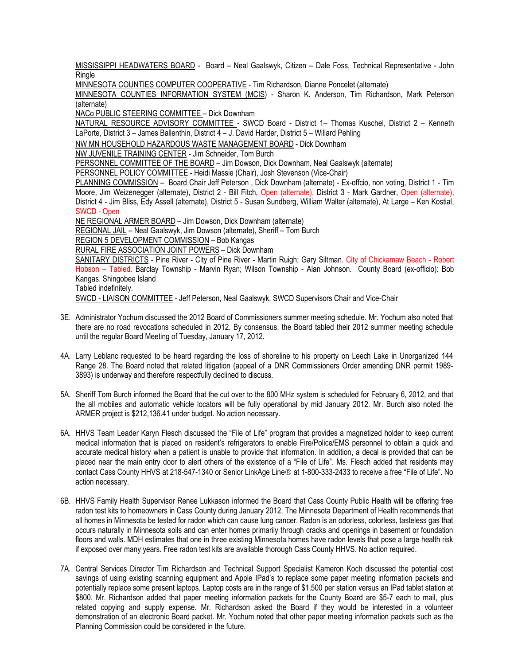MISSISSIPPI HEADWATERS BOARD - Board – Neal Gaalswyk, Citizen – Dale Foss, Technical Representative - John **Ringle** 

MINNESOTA COUNTIES COMPUTER COOPERATIVE - Tim Richardson, Dianne Poncelet (alternate)

MINNESOTA COUNTIES INFORMATION SYSTEM (MCIS) - Sharon K. Anderson, Tim Richardson, Mark Peterson (alternate)

NACo PUBLIC STEERING COMMITTEE – Dick Downham

NATURAL RESOURCE ADVISORY COMMITTEE - SWCD Board - District 1- Thomas Kuschel, District 2 - Kenneth LaPorte, District 3 – James Ballenthin, District 4 – J. David Harder, District 5 – Willard Pehling

NW MN HOUSEHOLD HAZARDOUS WASTE MANAGEMENT BOARD - Dick Downham

NW JUVENILE TRAINING CENTER - Jim Schneider, Tom Burch

PERSONNEL COMMITTEE OF THE BOARD – Jim Dowson, Dick Downham, Neal Gaalswyk (alternate)

PERSONNEL POLICY COMMITTEE - Heidi Massie (Chair), Josh Stevenson (Vice-Chair)

PLANNING COMMISSION – Board Chair Jeff Peterson , Dick Downham (alternate) - Ex-offcio, non voting, District 1 - Tim Moore, Jim Weizenegger (alternate), District 2 - Bill Fitch, Open (alternate), District 3 - Mark Gardner, Open (alternate), District 4 - Jim Bliss, Edy Assell (alternate), District 5 - Susan Sundberg, William Walter (alternate), At Large – Ken Kostial, SWCD - Open

NE REGIONAL ARMER BOARD – Jim Dowson, Dick Downham (alternate) REGIONAL JAIL – Neal Gaalswyk, Jim Dowson (alternate), Sheriff – Tom Burch

REGION 5 DEVELOPMENT COMMISSION – Bob Kangas

RURAL FIRE ASSOCIATION JOINT POWERS – Dick Downham

SANITARY DISTRICTS - Pine River - City of Pine River - Martin Ruigh; Gary Siltman. City of Chickamaw Beach - Robert Hobson – Tabled. Barclay Township - Marvin Ryan; Wilson Township - Alan Johnson. County Board (ex-officio): Bob Kangas. Shingobee Island Tabled indefinitely.

SWCD - LIAISON COMMITTEE - Jeff Peterson, Neal Gaalswyk, SWCD Supervisors Chair and Vice-Chair

- 3E. Administrator Yochum discussed the 2012 Board of Commissioners summer meeting schedule. Mr. Yochum also noted that there are no road revocations scheduled in 2012. By consensus, the Board tabled their 2012 summer meeting schedule until the regular Board Meeting of Tuesday, January 17, 2012.
- 4A. Larry Leblanc requested to be heard regarding the loss of shoreline to his property on Leech Lake in Unorganized 144 Range 28. The Board noted that related litigation (appeal of a DNR Commissioners Order amending DNR permit 1989- 3893) is underway and therefore respectfully declined to discuss.
- 5A. Sheriff Tom Burch informed the Board that the cut over to the 800 MHz system is scheduled for February 6, 2012, and that the all mobiles and automatic vehicle locators will be fully operational by mid January 2012. Mr. Burch also noted the ARMER project is \$212,136.41 under budget. No action necessary.
- 6A. HHVS Team Leader Karyn Flesch discussed the "File of Life" program that provides a magnetized holder to keep current medical information that is placed on resident's refrigerators to enable Fire/Police/EMS personnel to obtain a quick and accurate medical history when a patient is unable to provide that information. In addition, a decal is provided that can be placed near the main entry door to alert others of the existence of a "File of Life". Ms. Flesch added that residents may contact Cass County HHVS at 218-547-1340 or Senior LinkAge Line® at 1-800-333-2433 to receive a free "File of Life". No action necessary.
- 6B. HHVS Family Health Supervisor Renee Lukkason informed the Board that Cass County Public Health will be offering free radon test kits to homeowners in Cass County during January 2012. The Minnesota Department of Health recommends that all homes in Minnesota be tested for radon which can cause lung cancer. Radon is an odorless, colorless, tasteless gas that occurs naturally in Minnesota soils and can enter homes primarily through cracks and openings in basement or foundation floors and walls. MDH estimates that one in three existing Minnesota homes have radon levels that pose a large health risk if exposed over many years. Free radon test kits are available thorough Cass County HHVS. No action required.
- 7A. Central Services Director Tim Richardson and Technical Support Specialist Kameron Koch discussed the potential cost savings of using existing scanning equipment and Apple IPad's to replace some paper meeting information packets and potentially replace some present laptops. Laptop costs are in the range of \$1,500 per station versus an IPad tablet station at \$800. Mr. Richardson added that paper meeting information packets for the County Board are \$5-7 each to mail, plus related copying and supply expense. Mr. Richardson asked the Board if they would be interested in a volunteer demonstration of an electronic Board packet. Mr. Yochum noted that other paper meeting information packets such as the Planning Commission could be considered in the future.